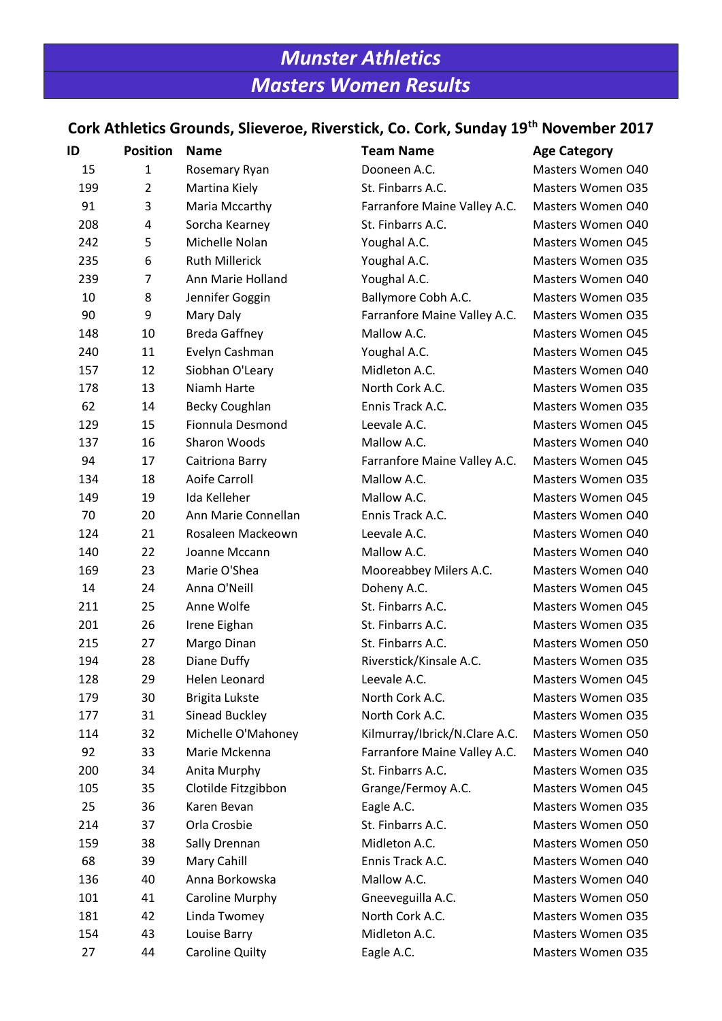# *Munster Athletics Masters Women Results*

# **Cork Athletics Grounds, Slieveroe, Riverstick, Co. Cork, Sunday 19th November 2017**

| ID  | <b>Position</b> | <b>Name</b>            | <b>Team Name</b>              | <b>Age Category</b> |
|-----|-----------------|------------------------|-------------------------------|---------------------|
| 15  | $\mathbf{1}$    | Rosemary Ryan          | Dooneen A.C.                  | Masters Women O40   |
| 199 | $\overline{2}$  | Martina Kiely          | St. Finbarrs A.C.             | Masters Women O35   |
| 91  | 3               | Maria Mccarthy         | Farranfore Maine Valley A.C.  | Masters Women O40   |
| 208 | 4               | Sorcha Kearney         | St. Finbarrs A.C.             | Masters Women O40   |
| 242 | 5               | Michelle Nolan         | Youghal A.C.                  | Masters Women O45   |
| 235 | 6               | <b>Ruth Millerick</b>  | Youghal A.C.                  | Masters Women O35   |
| 239 | 7               | Ann Marie Holland      | Youghal A.C.                  | Masters Women O40   |
| 10  | 8               | Jennifer Goggin        | Ballymore Cobh A.C.           | Masters Women O35   |
| 90  | 9               | Mary Daly              | Farranfore Maine Valley A.C.  | Masters Women O35   |
| 148 | 10              | <b>Breda Gaffney</b>   | Mallow A.C.                   | Masters Women O45   |
| 240 | 11              | Evelyn Cashman         | Youghal A.C.                  | Masters Women O45   |
| 157 | 12              | Siobhan O'Leary        | Midleton A.C.                 | Masters Women O40   |
| 178 | 13              | Niamh Harte            | North Cork A.C.               | Masters Women 035   |
| 62  | 14              | <b>Becky Coughlan</b>  | Ennis Track A.C.              | Masters Women O35   |
| 129 | 15              | Fionnula Desmond       | Leevale A.C.                  | Masters Women O45   |
| 137 | 16              | Sharon Woods           | Mallow A.C.                   | Masters Women O40   |
| 94  | 17              | Caitriona Barry        | Farranfore Maine Valley A.C.  | Masters Women O45   |
| 134 | 18              | Aoife Carroll          | Mallow A.C.                   | Masters Women O35   |
| 149 | 19              | Ida Kelleher           | Mallow A.C.                   | Masters Women O45   |
| 70  | 20              | Ann Marie Connellan    | Ennis Track A.C.              | Masters Women O40   |
| 124 | 21              | Rosaleen Mackeown      | Leevale A.C.                  | Masters Women O40   |
| 140 | 22              | Joanne Mccann          | Mallow A.C.                   | Masters Women O40   |
| 169 | 23              | Marie O'Shea           | Mooreabbey Milers A.C.        | Masters Women O40   |
| 14  | 24              | Anna O'Neill           | Doheny A.C.                   | Masters Women O45   |
| 211 | 25              | Anne Wolfe             | St. Finbarrs A.C.             | Masters Women O45   |
| 201 | 26              | Irene Eighan           | St. Finbarrs A.C.             | Masters Women O35   |
| 215 | 27              | Margo Dinan            | St. Finbarrs A.C.             | Masters Women O50   |
| 194 | 28              | Diane Duffy            | Riverstick/Kinsale A.C.       | Masters Women O35   |
| 128 | 29              | Helen Leonard          | Leevale A.C.                  | Masters Women 045   |
| 179 | 30              | Brigita Lukste         | North Cork A.C.               | Masters Women O35   |
| 177 | 31              | Sinead Buckley         | North Cork A.C.               | Masters Women O35   |
| 114 | 32              | Michelle O'Mahoney     | Kilmurray/Ibrick/N.Clare A.C. | Masters Women O50   |
| 92  | 33              | Marie Mckenna          | Farranfore Maine Valley A.C.  | Masters Women O40   |
| 200 | 34              | Anita Murphy           | St. Finbarrs A.C.             | Masters Women O35   |
| 105 | 35              | Clotilde Fitzgibbon    | Grange/Fermoy A.C.            | Masters Women O45   |
| 25  | 36              | Karen Bevan            | Eagle A.C.                    | Masters Women O35   |
| 214 | 37              | Orla Crosbie           | St. Finbarrs A.C.             | Masters Women O50   |
| 159 | 38              | Sally Drennan          | Midleton A.C.                 | Masters Women O50   |
| 68  | 39              | Mary Cahill            | Ennis Track A.C.              | Masters Women O40   |
| 136 | 40              | Anna Borkowska         | Mallow A.C.                   | Masters Women O40   |
| 101 | 41              | Caroline Murphy        | Gneeveguilla A.C.             | Masters Women O50   |
| 181 | 42              | Linda Twomey           | North Cork A.C.               | Masters Women O35   |
| 154 | 43              | Louise Barry           | Midleton A.C.                 | Masters Women O35   |
| 27  | 44              | <b>Caroline Quilty</b> | Eagle A.C.                    | Masters Women O35   |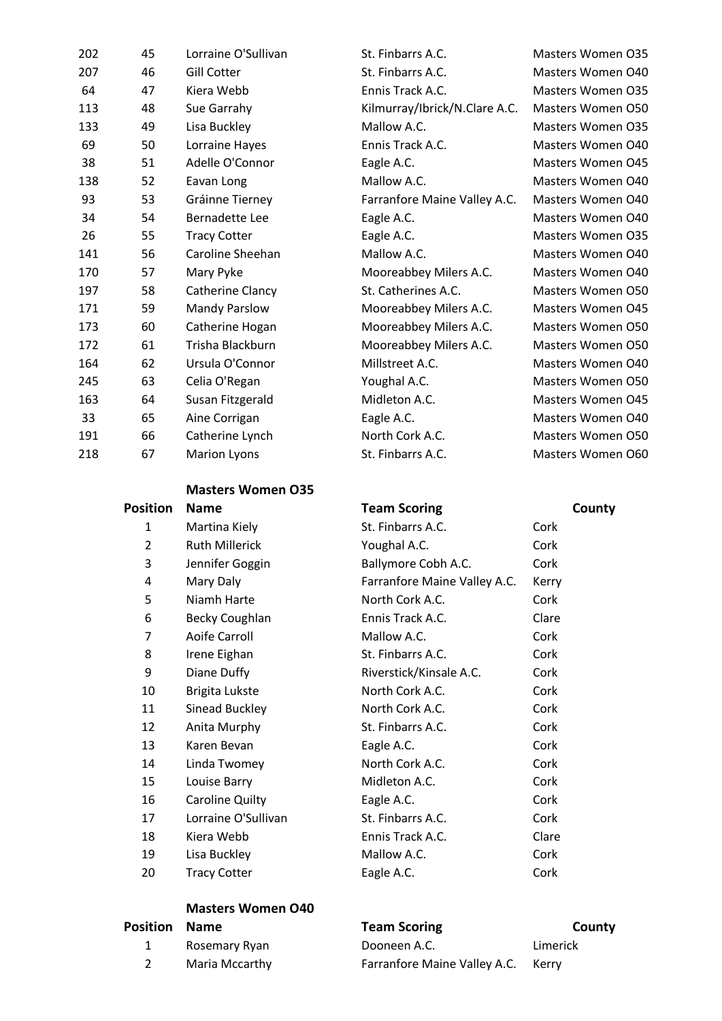| 202 | 45 | Lorraine O'Sullivan   | St. Finbarrs A.C.             | Masters Women O35        |
|-----|----|-----------------------|-------------------------------|--------------------------|
| 207 | 46 | <b>Gill Cotter</b>    | St. Finbarrs A.C.             | Masters Women 040        |
| 64  | 47 | Kiera Webb            | Ennis Track A.C.              | <b>Masters Women O35</b> |
| 113 | 48 | Sue Garrahy           | Kilmurray/Ibrick/N.Clare A.C. | Masters Women O50        |
| 133 | 49 | Lisa Buckley          | Mallow A.C.                   | <b>Masters Women O35</b> |
| 69  | 50 | Lorraine Hayes        | Ennis Track A.C.              | Masters Women 040        |
| 38  | 51 | Adelle O'Connor       | Eagle A.C.                    | <b>Masters Women 045</b> |
| 138 | 52 | Eavan Long            | Mallow A.C.                   | Masters Women 040        |
| 93  | 53 | Gráinne Tierney       | Farranfore Maine Valley A.C.  | Masters Women O40        |
| 34  | 54 | <b>Bernadette Lee</b> | Eagle A.C.                    | Masters Women 040        |
| 26  | 55 | <b>Tracy Cotter</b>   | Eagle A.C.                    | <b>Masters Women O35</b> |
| 141 | 56 | Caroline Sheehan      | Mallow A.C.                   | Masters Women O40        |
| 170 | 57 | Mary Pyke             | Mooreabbey Milers A.C.        | Masters Women O40        |
| 197 | 58 | Catherine Clancy      | St. Catherines A.C.           | Masters Women O50        |
| 171 | 59 | Mandy Parslow         | Mooreabbey Milers A.C.        | Masters Women O45        |
| 173 | 60 | Catherine Hogan       | Mooreabbey Milers A.C.        | Masters Women O50        |
| 172 | 61 | Trisha Blackburn      | Mooreabbey Milers A.C.        | Masters Women O50        |
| 164 | 62 | Ursula O'Connor       | Millstreet A.C.               | Masters Women O40        |
| 245 | 63 | Celia O'Regan         | Youghal A.C.                  | Masters Women O50        |
| 163 | 64 | Susan Fitzgerald      | Midleton A.C.                 | Masters Women O45        |
| 33  | 65 | Aine Corrigan         | Eagle A.C.                    | Masters Women 040        |
| 191 | 66 | Catherine Lynch       | North Cork A.C.               | Masters Women O50        |
| 218 | 67 | <b>Marion Lyons</b>   | St. Finbarrs A.C.             | Masters Women O60        |
|     |    |                       |                               |                          |

#### **Masters Women O35**

| Position | <b>Name</b>           | <b>Team Scoring</b>          | County |
|----------|-----------------------|------------------------------|--------|
| 1        | Martina Kiely         | St. Finbarrs A.C.            | Cork   |
| 2        | <b>Ruth Millerick</b> | Youghal A.C.                 | Cork   |
| 3        | Jennifer Goggin       | Ballymore Cobh A.C.          | Cork   |
| 4        | Mary Daly             | Farranfore Maine Valley A.C. | Kerry  |
| 5        | Niamh Harte           | North Cork A.C.              | Cork   |
| 6        | <b>Becky Coughlan</b> | Ennis Track A.C.             | Clare  |
| 7        | <b>Aoife Carroll</b>  | Mallow A.C.                  | Cork   |
| 8        | Irene Eighan          | St. Finbarrs A.C.            | Cork   |
| 9        | Diane Duffy           | Riverstick/Kinsale A.C.      | Cork   |
| 10       | Brigita Lukste        | North Cork A.C.              | Cork   |
| 11       | Sinead Buckley        | North Cork A.C.              | Cork   |
| 12       | Anita Murphy          | St. Finbarrs A.C.            | Cork   |
| 13       | Karen Bevan           | Eagle A.C.                   | Cork   |
| 14       | Linda Twomey          | North Cork A.C.              | Cork   |
| 15       | Louise Barry          | Midleton A.C.                | Cork   |
| 16       | Caroline Quilty       | Eagle A.C.                   | Cork   |
| 17       | Lorraine O'Sullivan   | St. Finbarrs A.C.            | Cork   |
| 18       | Kiera Webb            | Ennis Track A.C.             | Clare  |
| 19       | Lisa Buckley          | Mallow A.C.                  | Cork   |
| 20       | <b>Tracy Cotter</b>   | Eagle A.C.                   | Cork   |
|          |                       |                              |        |

#### **Masters Women O40**

| <b>Position Name</b> |                | <b>Team Sc</b> |
|----------------------|----------------|----------------|
|                      | Rosemary Ryan  | Dooneen        |
|                      | Maria Mccarthy | Farranfor      |

**Position County**<br> **Position County**<br> **Position Team Scott** 

1 A.C. Limerick re Maine Valley A.C. Kerry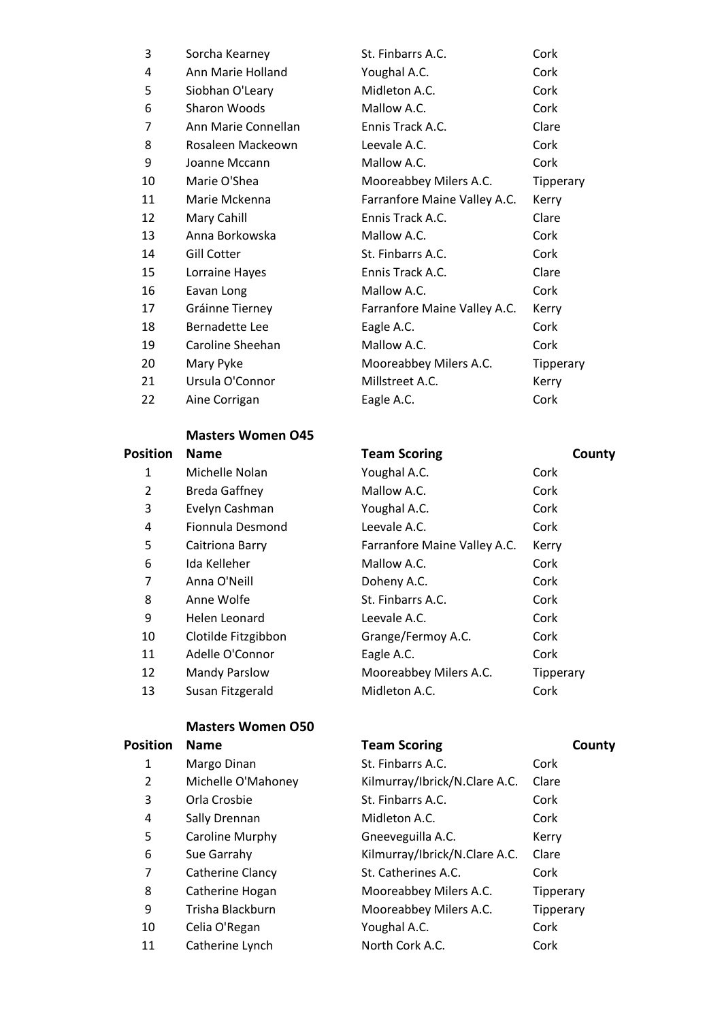| 3  | Sorcha Kearney      | St. Finbarrs A.C.            | Cork      |
|----|---------------------|------------------------------|-----------|
| 4  | Ann Marie Holland   | Youghal A.C.                 | Cork      |
| 5  | Siobhan O'Leary     | Midleton A.C.                | Cork      |
| 6  | Sharon Woods        | Mallow A.C.                  | Cork      |
| 7  | Ann Marie Connellan | Ennis Track A.C.             | Clare     |
| 8  | Rosaleen Mackeown   | Leevale A.C.                 | Cork      |
| 9  | Joanne Mccann       | Mallow A.C.                  | Cork      |
| 10 | Marie O'Shea        | Mooreabbey Milers A.C.       | Tipperary |
| 11 | Marie Mckenna       | Farranfore Maine Valley A.C. | Kerry     |
| 12 | Mary Cahill         | Ennis Track A.C.             | Clare     |
| 13 | Anna Borkowska      | Mallow A.C.                  | Cork      |
| 14 | <b>Gill Cotter</b>  | St. Finbarrs A.C.            | Cork      |
| 15 | Lorraine Hayes      | Ennis Track A.C.             | Clare     |
| 16 | Eavan Long          | Mallow A.C.                  | Cork      |
| 17 | Gráinne Tierney     | Farranfore Maine Valley A.C. | Kerry     |
| 18 | Bernadette Lee      | Eagle A.C.                   | Cork      |
| 19 | Caroline Sheehan    | Mallow A.C.                  | Cork      |
| 20 | Mary Pyke           | Mooreabbey Milers A.C.       | Tipperary |
| 21 | Ursula O'Connor     | Millstreet A.C.              | Kerry     |
| 22 | Aine Corrigan       | Eagle A.C.                   | Cork      |
|    |                     |                              |           |

### **Masters Women O45**

| <b>Position</b> | <b>Name</b>          | <b>Team Scoring</b>          | County    |
|-----------------|----------------------|------------------------------|-----------|
| 1               | Michelle Nolan       | Youghal A.C.                 | Cork      |
| 2               | <b>Breda Gaffney</b> | Mallow A.C.                  | Cork      |
| 3               | Evelyn Cashman       | Youghal A.C.                 | Cork      |
| 4               | Fionnula Desmond     | Leevale A.C.                 | Cork      |
| 5               | Caitriona Barry      | Farranfore Maine Valley A.C. | Kerry     |
| 6               | Ida Kelleher         | Mallow A.C.                  | Cork      |
| 7               | Anna O'Neill         | Doheny A.C.                  | Cork      |
| 8               | Anne Wolfe           | St. Finbarrs A.C.            | Cork      |
| 9               | Helen Leonard        | Leevale A.C.                 | Cork      |
| 10              | Clotilde Fitzgibbon  | Grange/Fermoy A.C.           | Cork      |
| 11              | Adelle O'Connor      | Eagle A.C.                   | Cork      |
| 12              | <b>Mandy Parslow</b> | Mooreabbey Milers A.C.       | Tipperary |
| 13              | Susan Fitzgerald     | Midleton A.C.                | Cork      |

## **Masters Women O50**

| <b>Position</b> | <b>Name</b>        | <b>Team Scoring</b>           | County    |
|-----------------|--------------------|-------------------------------|-----------|
| 1               | Margo Dinan        | St. Finbarrs A.C.             | Cork      |
| 2               | Michelle O'Mahoney | Kilmurray/Ibrick/N.Clare A.C. | Clare     |
| 3               | Orla Crosbie       | St. Finbarrs A.C.             | Cork      |
| 4               | Sally Drennan      | Midleton A.C.                 | Cork      |
| 5               | Caroline Murphy    | Gneeveguilla A.C.             | Kerry     |
| 6               | Sue Garrahy        | Kilmurray/Ibrick/N.Clare A.C. | Clare     |
| 7               | Catherine Clancy   | St. Catherines A.C.           | Cork      |
| 8               | Catherine Hogan    | Mooreabbey Milers A.C.        | Tipperary |
| 9               | Trisha Blackburn   | Mooreabbey Milers A.C.        | Tipperary |
| 10              | Celia O'Regan      | Youghal A.C.                  | Cork      |
| 11              | Catherine Lynch    | North Cork A.C.               | Cork      |